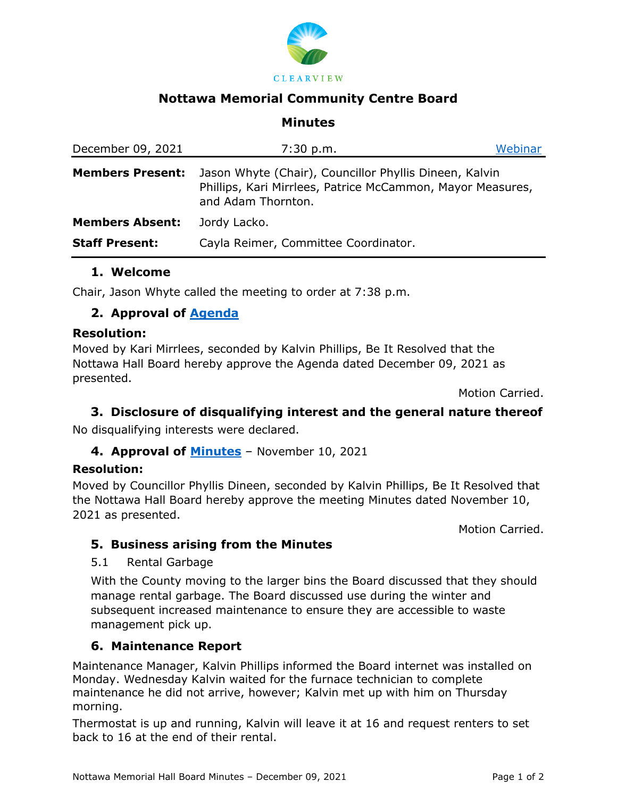

# **Nottawa Memorial Community Centre Board**

### **Minutes**

| December 09, 2021       | 7:30 p.m.                                                                                                                                  | Webinar |
|-------------------------|--------------------------------------------------------------------------------------------------------------------------------------------|---------|
| <b>Members Present:</b> | Jason Whyte (Chair), Councillor Phyllis Dineen, Kalvin<br>Phillips, Kari Mirrlees, Patrice McCammon, Mayor Measures,<br>and Adam Thornton. |         |
| <b>Members Absent:</b>  | Jordy Lacko.                                                                                                                               |         |
| <b>Staff Present:</b>   | Cayla Reimer, Committee Coordinator.                                                                                                       |         |

### **1. Welcome**

Chair, Jason Whyte called the meeting to order at 7:38 p.m.

## **2. Approval of [Agenda](https://www.clearview.ca/file/230907/download?token=acmIjTlQ)**

#### **Resolution:**

Moved by Kari Mirrlees, seconded by Kalvin Phillips, Be It Resolved that the Nottawa Hall Board hereby approve the Agenda dated December 09, 2021 as presented.

Motion Carried.

### **3. Disclosure of disqualifying interest and the general nature thereof**

No disqualifying interests were declared.

### **4. Approval of [Minutes](https://www.clearview.ca/file/230918/download?token=suyKG-LU)** – November 10, 2021

#### **Resolution:**

Moved by Councillor Phyllis Dineen, seconded by Kalvin Phillips, Be It Resolved that the Nottawa Hall Board hereby approve the meeting Minutes dated November 10, 2021 as presented.

Motion Carried.

### **5. Business arising from the Minutes**

#### 5.1 Rental Garbage

With the County moving to the larger bins the Board discussed that they should manage rental garbage. The Board discussed use during the winter and subsequent increased maintenance to ensure they are accessible to waste management pick up.

### **6. Maintenance Report**

Maintenance Manager, Kalvin Phillips informed the Board internet was installed on Monday. Wednesday Kalvin waited for the furnace technician to complete maintenance he did not arrive, however; Kalvin met up with him on Thursday morning.

Thermostat is up and running, Kalvin will leave it at 16 and request renters to set back to 16 at the end of their rental.